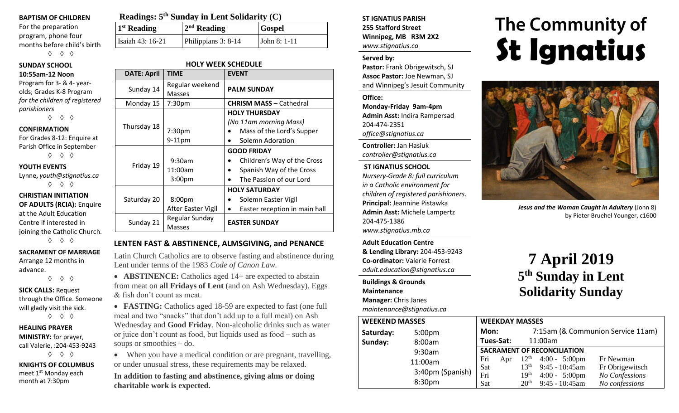#### **BAPTISM OF CHILDREN**

For the preparation program, phone four months before child's birth ◊ ◊ ◊

## **SUNDAY SCHOOL**

#### **10:55am-12 Noon**

Program for 3- & 4- yearolds; Grades K-8 Program *for the children of registered parishioners*

◊ ◊ ◊

#### **CONFIRMATION**

For Grades 8-12: Enquire at Parish Office in September ◊ ◊ ◊

#### **YOUTH EVENTS**

Lynne**,** *youth@stignatius.ca* ◊ ◊ ◊

#### **CHRISTIAN INITIATION OF ADULTS (RCIA):** Enquire at the Adult Education Centre if interested in joining the Catholic Church. ◊ ◊ ◊

**SACRAMENT OF MARRIAGE** Arrange 12 months in

advance. ◊ ◊ ◊

#### **SICK CALLS:** Request through the Office. Someone will gladly visit the sick. ◊ ◊ ◊

**HEALING PRAYER MINISTRY:** for prayer, call Valerie, :204-453-9243 ◊ ◊ ◊

**KNIGHTS OF COLUMBUS** meet 1<sup>st</sup> Monday each month at 7:30pm

| Readings: 5 <sup>th</sup> Sunday in Lent Solidarity (C) |                     |               |  |  |  |
|---------------------------------------------------------|---------------------|---------------|--|--|--|
| 1 <sup>st</sup> Reading                                 | $2nd$ Reading       | <b>Gospel</b> |  |  |  |
| Isaiah 43: 16-21                                        | Philippians 3: 8-14 | John $8:1-11$ |  |  |  |

#### **HOLY WEEK SCHEDULE**

| <b>DATE: April</b> | <b>TIME</b>               | <b>EVENT</b>                               |  |  |
|--------------------|---------------------------|--------------------------------------------|--|--|
| Sunday 14          | Regular weekend<br>Masses | <b>PALM SUNDAY</b>                         |  |  |
| Monday 15          | 7:30pm                    | <b>CHRISM MASS - Cathedral</b>             |  |  |
|                    |                           | <b>HOLY THURSDAY</b>                       |  |  |
|                    |                           | (No 11am morning Mass)                     |  |  |
| Thursday 18        | 7:30pm                    | Mass of the Lord's Supper                  |  |  |
|                    | $9-11$ pm                 | Solemn Adoration                           |  |  |
|                    |                           | <b>GOOD FRIDAY</b>                         |  |  |
|                    | 9:30am                    | Children's Way of the Cross                |  |  |
| Friday 19          | 11:00am                   | Spanish Way of the Cross<br>$\bullet$      |  |  |
|                    | 3:00 <sub>pm</sub>        | The Passion of our Lord                    |  |  |
|                    |                           | <b>HOLY SATURDAY</b>                       |  |  |
| Saturday 20        | 8:00pm                    | Solemn Easter Vigil                        |  |  |
|                    | After Easter Vigil        | Easter reception in main hall<br>$\bullet$ |  |  |
|                    | Regular Sunday            | <b>EASTER SUNDAY</b>                       |  |  |
| Sunday 21          | <b>Masses</b>             |                                            |  |  |

#### **LENTEN FAST & ABSTINENCE, ALMSGIVING, and PENANCE**

Latin Church Catholics are to observe fasting and abstinence during Lent under terms of the 1983 *Code of Canon Law.*

• **ABSTINENCE:** Catholics aged 14+ are expected to abstain from meat on **all Fridays of Lent** (and on Ash Wednesday). Eggs & fish don't count as meat.

• **FASTING:** Catholics aged 18-59 are expected to fast (one full meal and two "snacks" that don't add up to a full meal) on Ash Wednesday and **Good Friday**. Non-alcoholic drinks such as water or juice don't count as food, but liquids used as food – such as soups or smoothies – do.

• When you have a medical condition or are pregnant, travelling, or under unusual stress, these requirements may be relaxed.

**In addition to fasting and abstinence, giving alms or doing charitable work is expected.**

**ST IGNATIUS PARISH 255 Stafford Street Winnipeg, MB R3M 2X2** *www.stignatius.ca*

#### **Served by:**

**Pastor:** Frank Obrigewitsch, SJ **Assoc Pastor:** Joe Newman, SJ and Winnipeg's Jesuit Community

**Office: Monday-Friday 9am-4pm Admin Asst:** Indira Rampersad 204-474-2351 *office@stignatius.ca*

**Controller:** Jan Hasiuk *controller@stignatius.ca*

#### **ST IGNATIUS SCHOOL**

*Nursery-Grade 8: full curriculum in a Catholic environment for children of registered parishioners.* **Principal:** Jeannine Pistawka **Admin Asst:** Michele Lampertz 204-475-1386 *www.stignatius.mb.ca*

**Adult Education Centre & Lending Library:** 204-453-9243 **Co-ordinator:** Valerie Forrest *adult.education@stignatius.ca*

#### **Buildings & Grounds**

**Maintenance**

**Manager:** Chris Janes *maintenance@stignatius.ca*

# The Community of **St Ignatius**



*Jesus and the Woman Caught in Adultery* (John 8) by Pieter Bruehel Younger, c1600

# **7 April 2019 5 th Sunday in Lent Solidarity Sunday**

| <b>WEEKEND MASSES</b> | <b>WEEKDAY MASSES</b> |                                    |           |                                   |                         |                 |
|-----------------------|-----------------------|------------------------------------|-----------|-----------------------------------|-------------------------|-----------------|
| Saturday:             | 5:00 <sub>pm</sub>    | Mon:                               |           | 7:15am (& Communion Service 11am) |                         |                 |
| Sunday:               | 8:00am                |                                    | Tues-Sat: |                                   | 11:00am                 |                 |
|                       | 9:30am                | <b>SACRAMENT OF RECONCILIATION</b> |           |                                   |                         |                 |
|                       | 11:00am               | Fri                                | Apr       | $12^{\text{th}}$                  | $4:00 - 5:00 \text{pm}$ | Fr Newman       |
|                       | 3:40pm (Spanish)      | Sat                                |           | 13 <sup>th</sup>                  | $9:45 - 10:45$ am       | Fr Obrigewitsch |
|                       |                       | Fri                                |           | 19 <sup>th</sup>                  | $4:00 - 5:00 \text{pm}$ | No Confessions  |
|                       | 8:30pm                | Sat                                |           | 20 <sup>th</sup>                  | 9:45 - 10:45am          | No confessions  |